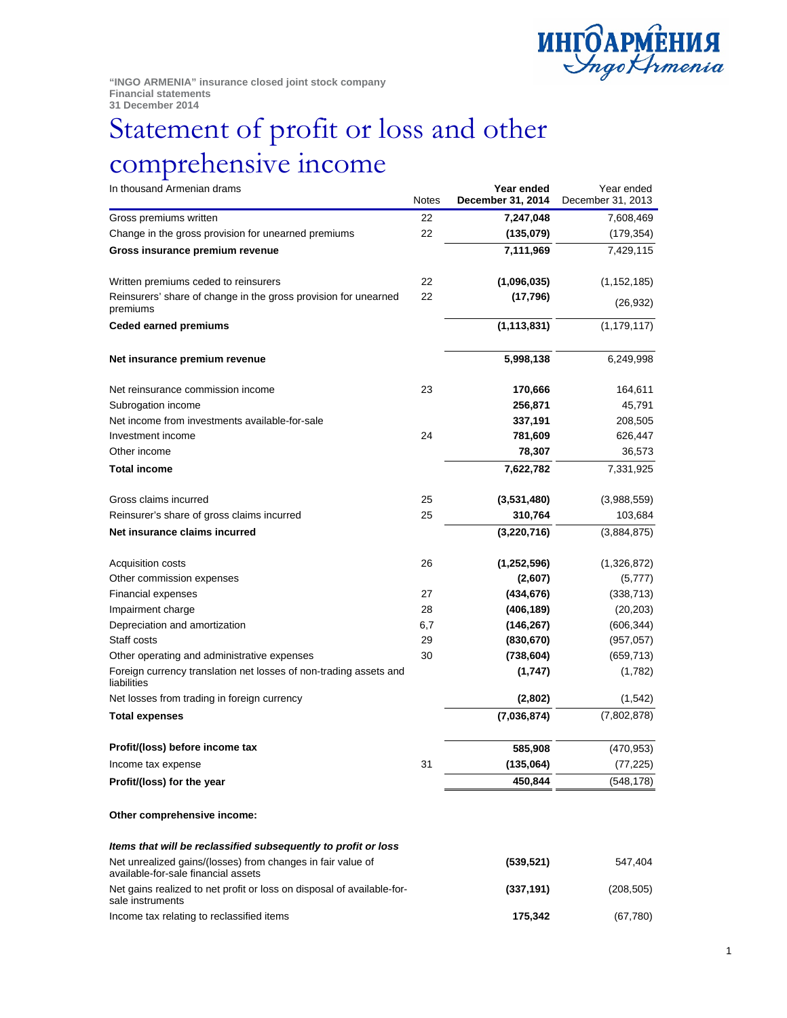

**"INGO ARMENIA" insurance closed joint stock company Financial statements 31 December 2014** 

## Statement of profit or loss and other comprehensive income

| In thousand Armenian drams                                                                         | <b>Notes</b> | Year ended<br>December 31, 2014 | Year ended<br>December 31, 2013 |
|----------------------------------------------------------------------------------------------------|--------------|---------------------------------|---------------------------------|
| Gross premiums written                                                                             | 22           | 7,247,048                       | 7,608,469                       |
| Change in the gross provision for unearned premiums                                                | 22           | (135,079)                       | (179, 354)                      |
| Gross insurance premium revenue                                                                    |              | 7,111,969                       | 7,429,115                       |
| Written premiums ceded to reinsurers                                                               | 22           | (1,096,035)                     | (1, 152, 185)                   |
| Reinsurers' share of change in the gross provision for unearned<br>premiums                        | 22           | (17, 796)                       | (26, 932)                       |
| <b>Ceded earned premiums</b>                                                                       |              | (1, 113, 831)                   | (1, 179, 117)                   |
| Net insurance premium revenue                                                                      |              | 5,998,138                       | 6,249,998                       |
| Net reinsurance commission income                                                                  | 23           | 170,666                         | 164,611                         |
| Subrogation income                                                                                 |              | 256,871                         | 45,791                          |
| Net income from investments available-for-sale                                                     |              | 337,191                         | 208,505                         |
| Investment income                                                                                  | 24           | 781,609                         | 626,447                         |
| Other income                                                                                       |              | 78,307                          | 36,573                          |
| <b>Total income</b>                                                                                |              | 7,622,782                       | 7,331,925                       |
| Gross claims incurred                                                                              | 25           | (3,531,480)                     | (3,988,559)                     |
| Reinsurer's share of gross claims incurred                                                         | 25           | 310,764                         | 103,684                         |
| Net insurance claims incurred                                                                      |              | (3,220,716)                     | (3,884,875)                     |
| Acquisition costs                                                                                  | 26           | (1,252,596)                     | (1,326,872)                     |
| Other commission expenses                                                                          |              | (2,607)                         | (5,777)                         |
| Financial expenses                                                                                 | 27           | (434, 676)                      | (338, 713)                      |
| Impairment charge                                                                                  | 28           | (406, 189)                      | (20, 203)                       |
| Depreciation and amortization                                                                      | 6,7          | (146, 267)                      | (606, 344)                      |
| Staff costs                                                                                        | 29           | (830, 670)                      | (957, 057)                      |
| Other operating and administrative expenses                                                        | 30           | (738, 604)                      | (659, 713)                      |
| Foreign currency translation net losses of non-trading assets and<br>liabilities                   |              | (1,747)                         | (1,782)                         |
| Net losses from trading in foreign currency                                                        |              | (2,802)                         | (1, 542)                        |
| <b>Total expenses</b>                                                                              |              | (7,036,874)                     | (7,802,878)                     |
| Profit/(loss) before income tax                                                                    |              | 585,908                         | (470, 953)                      |
| Income tax expense                                                                                 | 31           | (135,064)                       | (77, 225)                       |
| Profit/(loss) for the year                                                                         |              | 450,844                         | (548,178)                       |
| Other comprehensive income:                                                                        |              |                                 |                                 |
| Items that will be reclassified subsequently to profit or loss                                     |              |                                 |                                 |
| Net unrealized gains/(losses) from changes in fair value of<br>available-for-sale financial assets |              | (539, 521)                      | 547,404                         |
| Net gains realized to net profit or loss on disposal of available-for-<br>sale instruments         |              | (337, 191)                      | (208, 505)                      |

Income tax relating to reclassified items **175,342** (67,780)